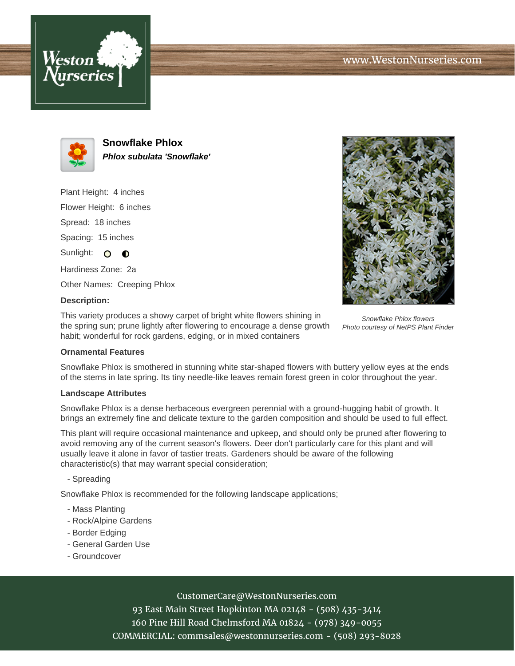



**Snowflake Phlox Phlox subulata 'Snowflake'**

Plant Height: 4 inches Flower Height: 6 inches Spread: 18 inches Spacing: 15 inches Sunlight: O **O** Hardiness Zone: 2a Other Names: Creeping Phlox



# **Description:**

This variety produces a showy carpet of bright white flowers shining in the spring sun; prune lightly after flowering to encourage a dense growth habit; wonderful for rock gardens, edging, or in mixed containers

Snowflake Phlox flowers Photo courtesy of NetPS Plant Finder

### **Ornamental Features**

Snowflake Phlox is smothered in stunning white star-shaped flowers with buttery yellow eyes at the ends of the stems in late spring. Its tiny needle-like leaves remain forest green in color throughout the year.

#### **Landscape Attributes**

Snowflake Phlox is a dense herbaceous evergreen perennial with a ground-hugging habit of growth. It brings an extremely fine and delicate texture to the garden composition and should be used to full effect.

This plant will require occasional maintenance and upkeep, and should only be pruned after flowering to avoid removing any of the current season's flowers. Deer don't particularly care for this plant and will usually leave it alone in favor of tastier treats. Gardeners should be aware of the following characteristic(s) that may warrant special consideration;

- Spreading

Snowflake Phlox is recommended for the following landscape applications;

- Mass Planting
- Rock/Alpine Gardens
- Border Edging
- General Garden Use
- Groundcover

### CustomerCare@WestonNurseries.com

93 East Main Street Hopkinton MA 02148 - (508) 435-3414 160 Pine Hill Road Chelmsford MA 01824 - (978) 349-0055 COMMERCIAL: commsales@westonnurseries.com - (508) 293-8028